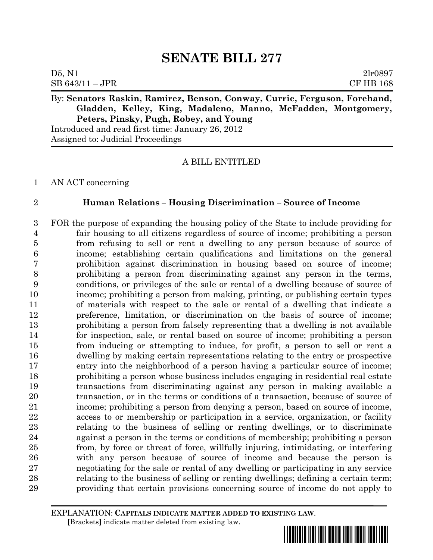| $SB 643/11 - JPR$ |  | <b>CF HB 168</b> |
|-------------------|--|------------------|
| D5, N1            |  | 2lr0897          |

# By: **Senators Raskin, Ramirez, Benson, Conway, Currie, Ferguson, Forehand, Gladden, Kelley, King, Madaleno, Manno, McFadden, Montgomery, Peters, Pinsky, Pugh, Robey, and Young**

Introduced and read first time: January 26, 2012 Assigned to: Judicial Proceedings

# A BILL ENTITLED

AN ACT concerning

### **Human Relations – Housing Discrimination – Source of Income**

 FOR the purpose of expanding the housing policy of the State to include providing for fair housing to all citizens regardless of source of income; prohibiting a person from refusing to sell or rent a dwelling to any person because of source of income; establishing certain qualifications and limitations on the general prohibition against discrimination in housing based on source of income; prohibiting a person from discriminating against any person in the terms, conditions, or privileges of the sale or rental of a dwelling because of source of income; prohibiting a person from making, printing, or publishing certain types of materials with respect to the sale or rental of a dwelling that indicate a preference, limitation, or discrimination on the basis of source of income; prohibiting a person from falsely representing that a dwelling is not available for inspection, sale, or rental based on source of income; prohibiting a person from inducing or attempting to induce, for profit, a person to sell or rent a dwelling by making certain representations relating to the entry or prospective entry into the neighborhood of a person having a particular source of income; prohibiting a person whose business includes engaging in residential real estate transactions from discriminating against any person in making available a transaction, or in the terms or conditions of a transaction, because of source of income; prohibiting a person from denying a person, based on source of income, access to or membership or participation in a service, organization, or facility relating to the business of selling or renting dwellings, or to discriminate against a person in the terms or conditions of membership; prohibiting a person from, by force or threat of force, willfully injuring, intimidating, or interfering with any person because of source of income and because the person is negotiating for the sale or rental of any dwelling or participating in any service relating to the business of selling or renting dwellings; defining a certain term; providing that certain provisions concerning source of income do not apply to

EXPLANATION: **CAPITALS INDICATE MATTER ADDED TO EXISTING LAW**.  **[**Brackets**]** indicate matter deleted from existing law.

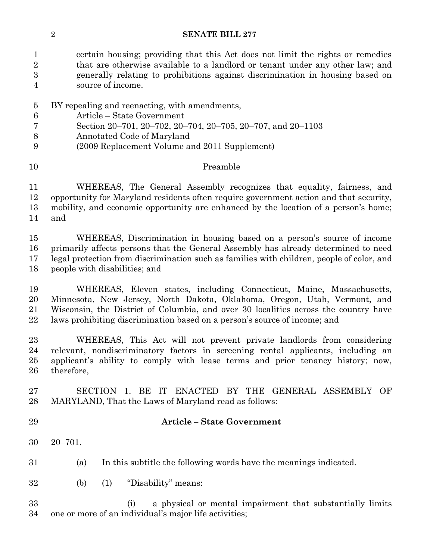certain housing; providing that this Act does not limit the rights or remedies 2 that are otherwise available to a landlord or tenant under any other law; and generally relating to prohibitions against discrimination in housing based on source of income.

- BY repealing and reenacting, with amendments,
- Article State Government
- Section 20–701, 20–702, 20–704, 20–705, 20–707, and 20–1103
- Annotated Code of Maryland
- (2009 Replacement Volume and 2011 Supplement)

### Preamble

 WHEREAS, The General Assembly recognizes that equality, fairness, and opportunity for Maryland residents often require government action and that security, mobility, and economic opportunity are enhanced by the location of a person's home; and

 WHEREAS, Discrimination in housing based on a person's source of income primarily affects persons that the General Assembly has already determined to need legal protection from discrimination such as families with children, people of color, and people with disabilities; and

 WHEREAS, Eleven states, including Connecticut, Maine, Massachusetts, Minnesota, New Jersey, North Dakota, Oklahoma, Oregon, Utah, Vermont, and Wisconsin, the District of Columbia, and over 30 localities across the country have laws prohibiting discrimination based on a person's source of income; and

 WHEREAS, This Act will not prevent private landlords from considering relevant, nondiscriminatory factors in screening rental applicants, including an applicant's ability to comply with lease terms and prior tenancy history; now, therefore,

 SECTION 1. BE IT ENACTED BY THE GENERAL ASSEMBLY OF MARYLAND, That the Laws of Maryland read as follows:

- 
- **Article – State Government**
- 20–701.
- (a) In this subtitle the following words have the meanings indicated.
- (b) (1) "Disability" means:

 (i) a physical or mental impairment that substantially limits one or more of an individual's major life activities;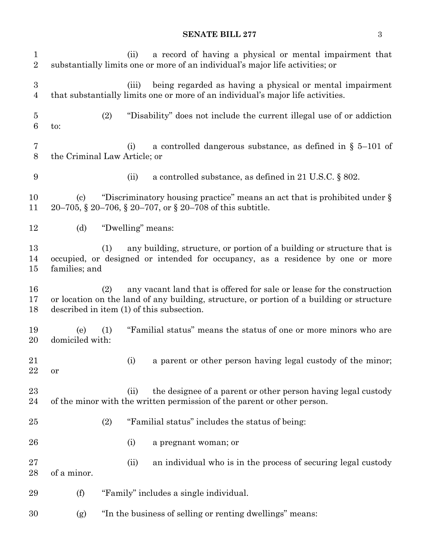#### **SENATE BILL 277** 3

 (ii) a record of having a physical or mental impairment that substantially limits one or more of an individual's major life activities; or (iii) being regarded as having a physical or mental impairment that substantially limits one or more of an individual's major life activities. (2) "Disability" does not include the current illegal use of or addiction to: (i) a controlled dangerous substance, as defined in § 5–101 of the Criminal Law Article; or (ii) a controlled substance, as defined in 21 U.S.C. § 802. (c) "Discriminatory housing practice" means an act that is prohibited under § 20–705, § 20–706, § 20–707, or § 20–708 of this subtitle. (d) "Dwelling" means: (1) any building, structure, or portion of a building or structure that is occupied, or designed or intended for occupancy, as a residence by one or more families; and (2) any vacant land that is offered for sale or lease for the construction or location on the land of any building, structure, or portion of a building or structure described in item (1) of this subsection. (e) (1) "Familial status" means the status of one or more minors who are domiciled with: (i) a parent or other person having legal custody of the minor; or 23 (ii) the designee of a parent or other person having legal custody of the minor with the written permission of the parent or other person. (2) "Familial status" includes the status of being: (i) a pregnant woman; or (ii) an individual who is in the process of securing legal custody of a minor. (f) "Family" includes a single individual. (g) "In the business of selling or renting dwellings" means: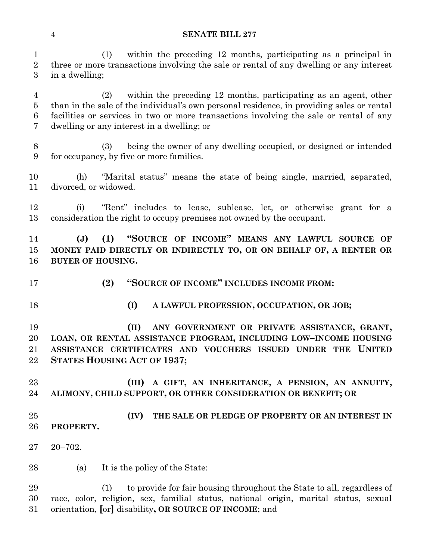(1) within the preceding 12 months, participating as a principal in three or more transactions involving the sale or rental of any dwelling or any interest in a dwelling;

 (2) within the preceding 12 months, participating as an agent, other than in the sale of the individual's own personal residence, in providing sales or rental facilities or services in two or more transactions involving the sale or rental of any dwelling or any interest in a dwelling; or

 (3) being the owner of any dwelling occupied, or designed or intended for occupancy, by five or more families.

 (h) "Marital status" means the state of being single, married, separated, divorced, or widowed.

 (i) "Rent" includes to lease, sublease, let, or otherwise grant for a consideration the right to occupy premises not owned by the occupant.

 **(J) (1) "SOURCE OF INCOME" MEANS ANY LAWFUL SOURCE OF MONEY PAID DIRECTLY OR INDIRECTLY TO, OR ON BEHALF OF, A RENTER OR BUYER OF HOUSING.**

- **(2) "SOURCE OF INCOME" INCLUDES INCOME FROM:**
- 
- **(I) A LAWFUL PROFESSION, OCCUPATION, OR JOB;**

 **(II) ANY GOVERNMENT OR PRIVATE ASSISTANCE, GRANT, LOAN, OR RENTAL ASSISTANCE PROGRAM, INCLUDING LOW–INCOME HOUSING ASSISTANCE CERTIFICATES AND VOUCHERS ISSUED UNDER THE UNITED STATES HOUSING ACT OF 1937;**

 **(III) A GIFT, AN INHERITANCE, A PENSION, AN ANNUITY, ALIMONY, CHILD SUPPORT, OR OTHER CONSIDERATION OR BENEFIT; OR**

 **(IV) THE SALE OR PLEDGE OF PROPERTY OR AN INTEREST IN PROPERTY.**

20–702.

(a) It is the policy of the State:

 (1) to provide for fair housing throughout the State to all, regardless of race, color, religion, sex, familial status, national origin, marital status, sexual orientation, **[**or**]** disability**, OR SOURCE OF INCOME**; and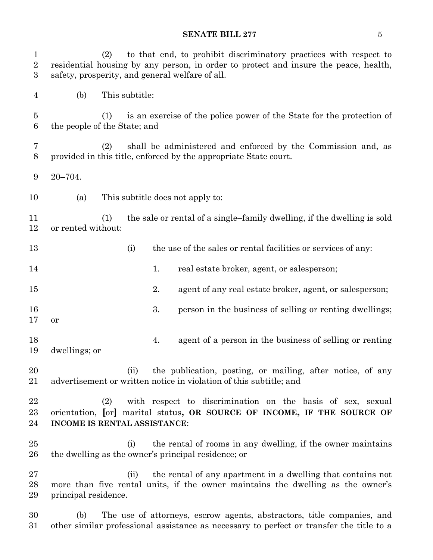# **SENATE BILL 277** 5

| $\mathbf 1$<br>$\overline{2}$<br>3 |                              | (2) |                |    | to that end, to prohibit discriminatory practices with respect to<br>residential housing by any person, in order to protect and insure the peace, health,<br>safety, prosperity, and general welfare of all. |
|------------------------------------|------------------------------|-----|----------------|----|--------------------------------------------------------------------------------------------------------------------------------------------------------------------------------------------------------------|
| 4                                  | (b)                          |     | This subtitle: |    |                                                                                                                                                                                                              |
| $\overline{5}$<br>6                | the people of the State; and | (1) |                |    | is an exercise of the police power of the State for the protection of                                                                                                                                        |
| 7<br>8                             |                              | (2) |                |    | shall be administered and enforced by the Commission and, as<br>provided in this title, enforced by the appropriate State court.                                                                             |
| 9                                  | $20 - 704.$                  |     |                |    |                                                                                                                                                                                                              |
| 10                                 | (a)                          |     |                |    | This subtitle does not apply to:                                                                                                                                                                             |
| 11<br>12                           | or rented without:           | (1) |                |    | the sale or rental of a single-family dwelling, if the dwelling is sold                                                                                                                                      |
| 13                                 |                              |     | (i)            |    | the use of the sales or rental facilities or services of any:                                                                                                                                                |
| 14                                 |                              |     |                | 1. | real estate broker, agent, or salesperson;                                                                                                                                                                   |
| 15                                 |                              |     |                | 2. | agent of any real estate broker, agent, or salesperson;                                                                                                                                                      |
| 16<br>17                           | <b>or</b>                    |     |                | 3. | person in the business of selling or renting dwellings;                                                                                                                                                      |
| 18<br>19                           | dwellings; or                |     |                | 4. | agent of a person in the business of selling or renting                                                                                                                                                      |
| $20\,$<br>21                       |                              |     | (ii)           |    | the publication, posting, or mailing, after notice, of any<br>advertisement or written notice in violation of this subtitle; and                                                                             |
| 22<br>23<br>24                     | INCOME IS RENTAL ASSISTANCE: | (2) |                |    | with respect to discrimination on the basis of sex, sexual<br>orientation, [or] marital status, OR SOURCE OF INCOME, IF THE SOURCE OF                                                                        |
| 25<br>26                           |                              |     | (i)            |    | the rental of rooms in any dwelling, if the owner maintains<br>the dwelling as the owner's principal residence; or                                                                                           |
| 27<br>28<br>29                     | principal residence.         |     | (ii)           |    | the rental of any apartment in a dwelling that contains not<br>more than five rental units, if the owner maintains the dwelling as the owner's                                                               |
| 30<br>31                           | (b)                          |     |                |    | The use of attorneys, escrow agents, abstractors, title companies, and<br>other similar professional assistance as necessary to perfect or transfer the title to a                                           |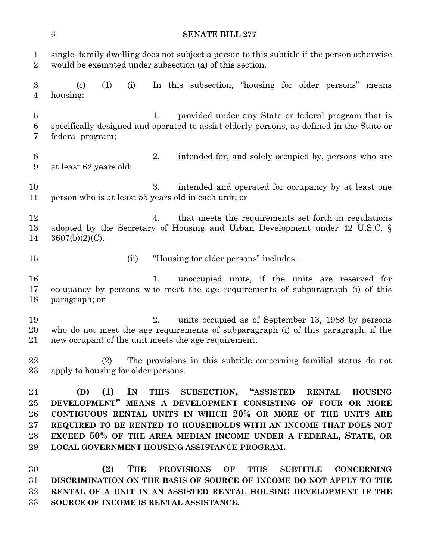single–family dwelling does not subject a person to this subtitle if the person otherwise would be exempted under subsection (a) of this section.

 (c) (1) (i) In this subsection, "housing for older persons" means housing:

 1. provided under any State or federal program that is specifically designed and operated to assist elderly persons, as defined in the State or federal program;

 2. intended for, and solely occupied by, persons who are at least 62 years old;

 3. intended and operated for occupancy by at least one person who is at least 55 years old in each unit; or

12 4. that meets the requirements set forth in regulations adopted by the Secretary of Housing and Urban Development under 42 U.S.C. § 3607(b)(2)(C).

- 
- (ii) "Housing for older persons" includes:
- 1. unoccupied units, if the units are reserved for occupancy by persons who meet the age requirements of subparagraph (i) of this paragraph; or

 2. units occupied as of September 13, 1988 by persons who do not meet the age requirements of subparagraph (i) of this paragraph, if the new occupant of the unit meets the age requirement.

 (2) The provisions in this subtitle concerning familial status do not apply to housing for older persons.

 **(D) (1) IN THIS SUBSECTION, "ASSISTED RENTAL HOUSING DEVELOPMENT" MEANS A DEVELOPMENT CONSISTING OF FOUR OR MORE CONTIGUOUS RENTAL UNITS IN WHICH 20% OR MORE OF THE UNITS ARE REQUIRED TO BE RENTED TO HOUSEHOLDS WITH AN INCOME THAT DOES NOT EXCEED 50% OF THE AREA MEDIAN INCOME UNDER A FEDERAL, STATE, OR LOCAL GOVERNMENT HOUSING ASSISTANCE PROGRAM.**

 **(2) THE PROVISIONS OF THIS SUBTITLE CONCERNING DISCRIMINATION ON THE BASIS OF SOURCE OF INCOME DO NOT APPLY TO THE RENTAL OF A UNIT IN AN ASSISTED RENTAL HOUSING DEVELOPMENT IF THE SOURCE OF INCOME IS RENTAL ASSISTANCE.**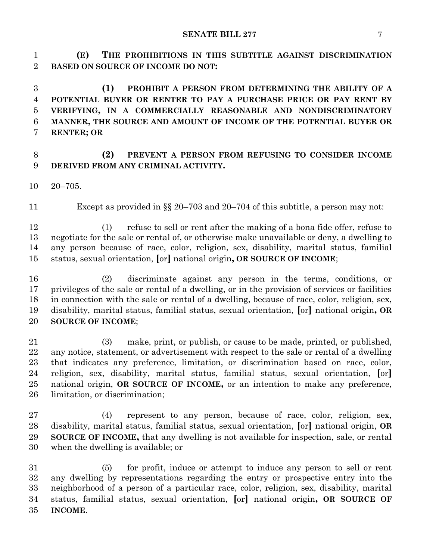**(E) THE PROHIBITIONS IN THIS SUBTITLE AGAINST DISCRIMINATION BASED ON SOURCE OF INCOME DO NOT:**

 **(1) PROHIBIT A PERSON FROM DETERMINING THE ABILITY OF A POTENTIAL BUYER OR RENTER TO PAY A PURCHASE PRICE OR PAY RENT BY VERIFYING, IN A COMMERCIALLY REASONABLE AND NONDISCRIMINATORY MANNER, THE SOURCE AND AMOUNT OF INCOME OF THE POTENTIAL BUYER OR RENTER; OR**

# **(2) PREVENT A PERSON FROM REFUSING TO CONSIDER INCOME DERIVED FROM ANY CRIMINAL ACTIVITY.**

20–705.

Except as provided in §§ 20–703 and 20–704 of this subtitle, a person may not:

 (1) refuse to sell or rent after the making of a bona fide offer, refuse to negotiate for the sale or rental of, or otherwise make unavailable or deny, a dwelling to any person because of race, color, religion, sex, disability, marital status, familial status, sexual orientation, **[**or**]** national origin**, OR SOURCE OF INCOME**;

 (2) discriminate against any person in the terms, conditions, or privileges of the sale or rental of a dwelling, or in the provision of services or facilities in connection with the sale or rental of a dwelling, because of race, color, religion, sex, disability, marital status, familial status, sexual orientation, **[**or**]** national origin**, OR SOURCE OF INCOME**;

 (3) make, print, or publish, or cause to be made, printed, or published, any notice, statement, or advertisement with respect to the sale or rental of a dwelling that indicates any preference, limitation, or discrimination based on race, color, religion, sex, disability, marital status, familial status, sexual orientation, **[**or**]** national origin, **OR SOURCE OF INCOME,** or an intention to make any preference, limitation, or discrimination;

 (4) represent to any person, because of race, color, religion, sex, disability, marital status, familial status, sexual orientation, **[**or**]** national origin, **OR SOURCE OF INCOME,** that any dwelling is not available for inspection, sale, or rental when the dwelling is available; or

 (5) for profit, induce or attempt to induce any person to sell or rent any dwelling by representations regarding the entry or prospective entry into the neighborhood of a person of a particular race, color, religion, sex, disability, marital status, familial status, sexual orientation, **[**or**]** national origin**, OR SOURCE OF INCOME**.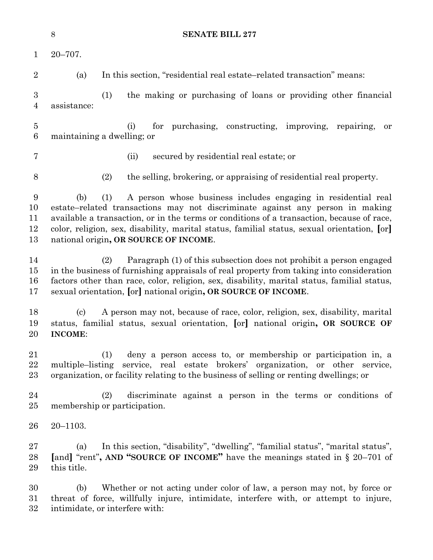|                                    | $8\,$<br><b>SENATE BILL 277</b>              |                                                                                                                                                                                                                                                                                                                                                                                            |  |  |  |
|------------------------------------|----------------------------------------------|--------------------------------------------------------------------------------------------------------------------------------------------------------------------------------------------------------------------------------------------------------------------------------------------------------------------------------------------------------------------------------------------|--|--|--|
| $\mathbf{1}$                       | $20 - 707$ .                                 |                                                                                                                                                                                                                                                                                                                                                                                            |  |  |  |
| $\overline{2}$                     | (a)                                          | In this section, "residential real estate-related transaction" means:                                                                                                                                                                                                                                                                                                                      |  |  |  |
| $\boldsymbol{3}$<br>$\overline{4}$ | assistance:                                  | (1)<br>the making or purchasing of loans or providing other financial                                                                                                                                                                                                                                                                                                                      |  |  |  |
| $\overline{5}$<br>6                |                                              | for purchasing, constructing, improving,<br>(i)<br>repairing,<br>or<br>maintaining a dwelling; or                                                                                                                                                                                                                                                                                          |  |  |  |
| $\overline{7}$                     |                                              | (ii)<br>secured by residential real estate; or                                                                                                                                                                                                                                                                                                                                             |  |  |  |
| 8                                  |                                              | (2)<br>the selling, brokering, or appraising of residential real property.                                                                                                                                                                                                                                                                                                                 |  |  |  |
| 9<br>10<br>11<br>12<br>13          | (b)                                          | A person whose business includes engaging in residential real<br>(1)<br>estate–related transactions may not discriminate against any person in making<br>available a transaction, or in the terms or conditions of a transaction, because of race,<br>color, religion, sex, disability, marital status, familial status, sexual orientation, [or]<br>national origin, OR SOURCE OF INCOME. |  |  |  |
| 14<br>15<br>16<br>17               |                                              | Paragraph (1) of this subsection does not prohibit a person engaged<br>(2)<br>in the business of furnishing appraisals of real property from taking into consideration<br>factors other than race, color, religion, sex, disability, marital status, familial status,<br>sexual orientation, [or] national origin, OR SOURCE OF INCOME.                                                    |  |  |  |
| 18<br>19<br>20                     | $\left( \mathrm{c}\right)$<br><b>INCOME:</b> | A person may not, because of race, color, religion, sex, disability, marital<br>status, familial status, sexual orientation, [or] national origin, OR SOURCE OF                                                                                                                                                                                                                            |  |  |  |
| 21<br>22<br>23                     |                                              | deny a person access to, or membership or participation in, a<br>(1)<br>multiple-listing service, real estate brokers' organization, or other service,<br>organization, or facility relating to the business of selling or renting dwellings; or                                                                                                                                           |  |  |  |
| 24<br>25                           |                                              | discriminate against a person in the terms or conditions of<br>(2)<br>membership or participation.                                                                                                                                                                                                                                                                                         |  |  |  |
| 26                                 | $20 - 1103.$                                 |                                                                                                                                                                                                                                                                                                                                                                                            |  |  |  |
| 27<br>28<br>29                     | (a)<br>this title.                           | In this section, "disability", "dwelling", "familial status", "marital status",<br>[and] "rent", AND "SOURCE OF INCOME" have the meanings stated in $\S 20-701$ of                                                                                                                                                                                                                         |  |  |  |
| 30<br>31<br>32                     | (b)                                          | Whether or not acting under color of law, a person may not, by force or<br>threat of force, willfully injure, intimidate, interfere with, or attempt to injure,<br>intimidate, or interfere with:                                                                                                                                                                                          |  |  |  |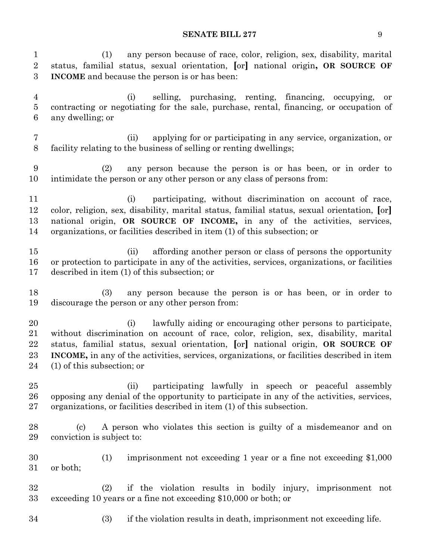**SENATE BILL 277** 9

 (1) any person because of race, color, religion, sex, disability, marital status, familial status, sexual orientation, **[**or**]** national origin**, OR SOURCE OF INCOME** and because the person is or has been: (i) selling, purchasing, renting, financing, occupying, or contracting or negotiating for the sale, purchase, rental, financing, or occupation of any dwelling; or (ii) applying for or participating in any service, organization, or facility relating to the business of selling or renting dwellings; (2) any person because the person is or has been, or in order to intimidate the person or any other person or any class of persons from: (i) participating, without discrimination on account of race, color, religion, sex, disability, marital status, familial status, sexual orientation, **[**or**]** national origin, **OR SOURCE OF INCOME,** in any of the activities, services, organizations, or facilities described in item (1) of this subsection; or (ii) affording another person or class of persons the opportunity or protection to participate in any of the activities, services, organizations, or facilities described in item (1) of this subsection; or (3) any person because the person is or has been, or in order to discourage the person or any other person from: (i) lawfully aiding or encouraging other persons to participate, without discrimination on account of race, color, religion, sex, disability, marital status, familial status, sexual orientation, **[**or**]** national origin, **OR SOURCE OF INCOME,** in any of the activities, services, organizations, or facilities described in item (1) of this subsection; or (ii) participating lawfully in speech or peaceful assembly opposing any denial of the opportunity to participate in any of the activities, services, organizations, or facilities described in item (1) of this subsection. (c) A person who violates this section is guilty of a misdemeanor and on conviction is subject to: (1) imprisonment not exceeding 1 year or a fine not exceeding \$1,000 or both; (2) if the violation results in bodily injury, imprisonment not exceeding 10 years or a fine not exceeding \$10,000 or both; or (3) if the violation results in death, imprisonment not exceeding life.